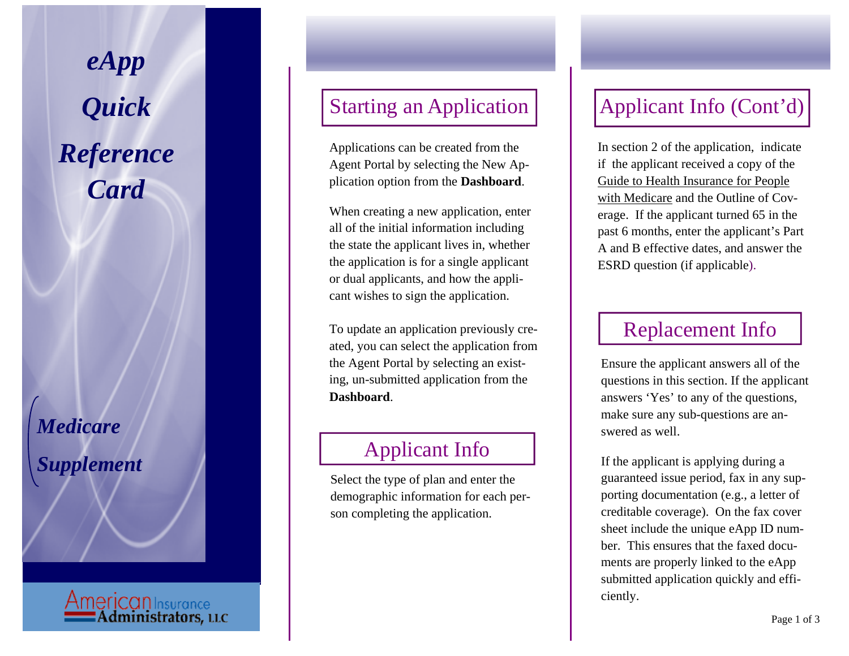*eApp Quick Reference Card* 

*Medicare Supplement* 

**AmericanInsurance**<br><u>**Communistrators, LLC</u>**</u>

#### Starting an Application

Applications can be created from the Agent Portal by selecting the New Application option from the **Dashboard**.

When creating a new application, enter all of the initial information including the state the applicant lives in, whether the application is for a single applicant or dual applicants, and how the applicant wishes to sign the application.

To update an application previously created, you can select the application from the Agent Portal by selecting an existing, un-submitted application from the **Dashboard**.

## Applicant Info

Select the type of plan and enter the demographic information for each person completing the application.

# Applicant Info (Cont'd)

In section 2 of the application, indicate if the applicant received a copy of the Guide to Health Insurance for People with Medicare and the Outline of Coverage. If the applicant turned 65 in the past 6 months, enter the applicant's Part A and B effective dates, and answer the ESRD question (if applicable).

#### Replacement Info

Ensure the applicant answers all of the questions in this section. If the applicant answers 'Yes' to any of the questions, make sure any sub-questions are answered as well.

If the applicant is applying during a guaranteed issue period, fax in any supporting documentation (e.g., a letter of creditable coverage). On the fax cover sheet include the unique eApp ID number. This ensures that the faxed documents are properly linked to the eApp submitted application quickly and efficiently.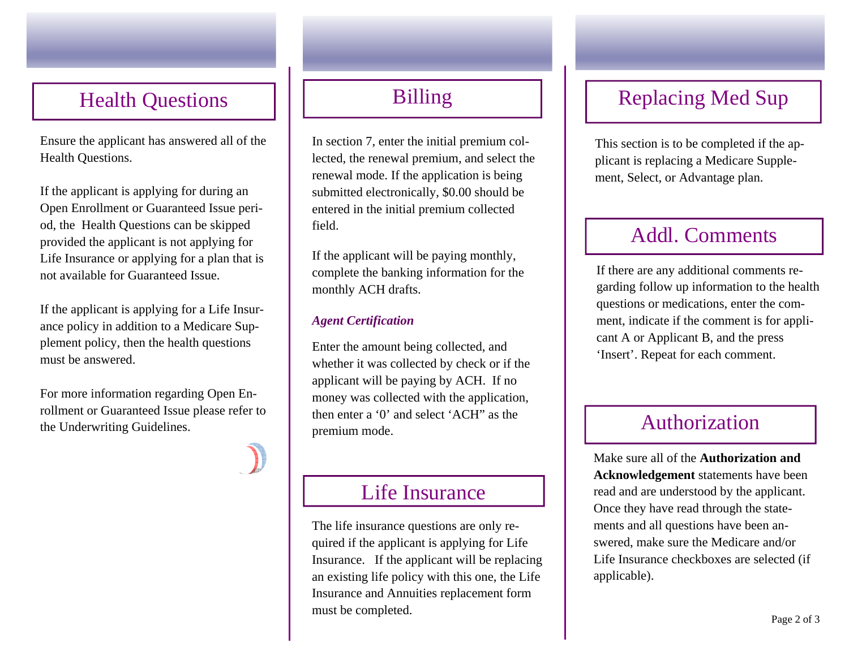## Health Questions

Ensure the applicant has answered all of the Health Questions.

If the applicant is applying for during an Open Enrollment or Guaranteed Issue period, the Health Questions can be skipped provided the applicant is not applying for Life Insurance or applying for a plan that is not available for Guaranteed Issue.

If the applicant is applying for a Life Insurance policy in addition to a Medicare Supplement policy, then the health questions must be answered.

For more information regarding Open Enrollment or Guaranteed Issue please refer to the Underwriting Guidelines.

# Billing

In section 7, enter the initial premium collected, the renewal premium, and select the renewal mode. If the application is being submitted electronically, \$0.00 should be entered in the initial premium collected field.

If the applicant will be paying monthly, complete the banking information for the monthly ACH drafts.

#### *Agent Certification*

Enter the amount being collected, and whether it was collected by check or if the applicant will be paying by ACH. If no money was collected with the application, then enter a '0' and select 'ACH" as the premium mode. The select ACH as the mean enter a 0 and select ACH as the Authorization

#### Life Insurance

The life insurance questions are only required if the applicant is applying for Life Insurance. If the applicant will be replacing an existing life policy with this one, the Life Insurance and Annuities replacement form must be completed.

# Replacing Med Sup

This section is to be completed if the applicant is replacing a Medicare Supplement, Select, or Advantage plan.

## Addl. Comments

If there are any additional comments regarding follow up information to the health questions or medications, enter the comment, indicate if the comment is for applicant A or Applicant B, and the press 'Insert'. Repeat for each comment.

Make sure all of the **Authorization and Acknowledgement** statements have been read and are understood by the applicant. Once they have read through the statements and all questions have been answered, make sure the Medicare and/or Life Insurance checkboxes are selected (if applicable).